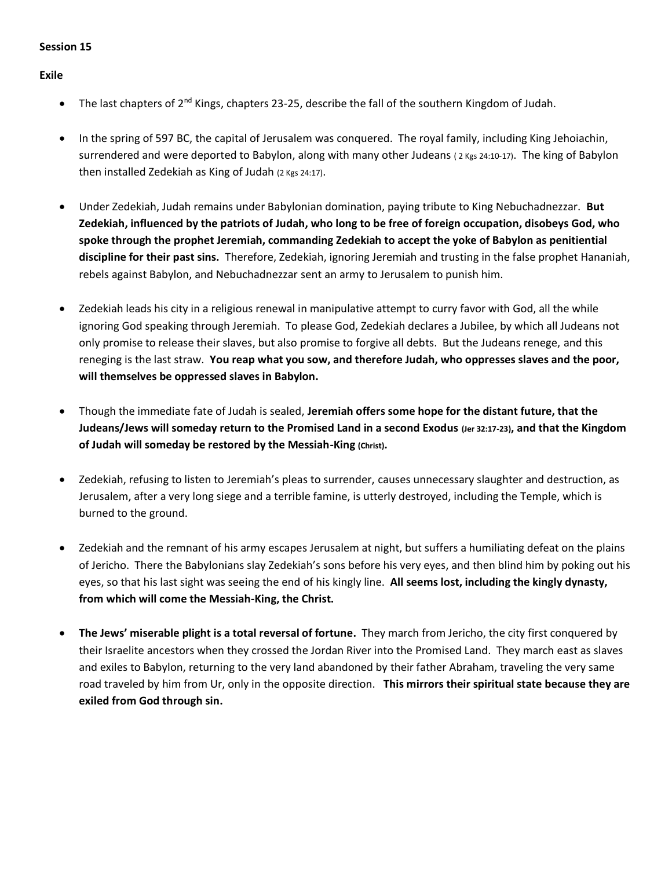## **Session 15**

**Exile**

- The last chapters of 2<sup>nd</sup> Kings, chapters 23-25, describe the fall of the southern Kingdom of Judah.
- In the spring of 597 BC, the capital of Jerusalem was conquered. The royal family, including King Jehoiachin, surrendered and were deported to Babylon, along with many other Judeans (2 Kgs 24:10-17). The king of Babylon then installed Zedekiah as King of Judah (2 Kgs 24:17).
- Under Zedekiah, Judah remains under Babylonian domination, paying tribute to King Nebuchadnezzar. **But Zedekiah, influenced by the patriots of Judah, who long to be free of foreign occupation, disobeys God, who spoke through the prophet Jeremiah, commanding Zedekiah to accept the yoke of Babylon as penitiential discipline for their past sins.** Therefore, Zedekiah, ignoring Jeremiah and trusting in the false prophet Hananiah, rebels against Babylon, and Nebuchadnezzar sent an army to Jerusalem to punish him.
- Zedekiah leads his city in a religious renewal in manipulative attempt to curry favor with God, all the while ignoring God speaking through Jeremiah. To please God, Zedekiah declares a Jubilee, by which all Judeans not only promise to release their slaves, but also promise to forgive all debts. But the Judeans renege, and this reneging is the last straw. **You reap what you sow, and therefore Judah, who oppresses slaves and the poor, will themselves be oppressed slaves in Babylon.**
- Though the immediate fate of Judah is sealed, **Jeremiah offers some hope for the distant future, that the Judeans/Jews will someday return to the Promised Land in a second Exodus (Jer 32:17-23), and that the Kingdom of Judah will someday be restored by the Messiah-King (Christ).**
- Zedekiah, refusing to listen to Jeremiah's pleas to surrender, causes unnecessary slaughter and destruction, as Jerusalem, after a very long siege and a terrible famine, is utterly destroyed, including the Temple, which is burned to the ground.
- Zedekiah and the remnant of his army escapes Jerusalem at night, but suffers a humiliating defeat on the plains of Jericho. There the Babylonians slay Zedekiah's sons before his very eyes, and then blind him by poking out his eyes, so that his last sight was seeing the end of his kingly line. **All seems lost, including the kingly dynasty, from which will come the Messiah-King, the Christ.**
- **The Jews' miserable plight is a total reversal of fortune.** They march from Jericho, the city first conquered by their Israelite ancestors when they crossed the Jordan River into the Promised Land. They march east as slaves and exiles to Babylon, returning to the very land abandoned by their father Abraham, traveling the very same road traveled by him from Ur, only in the opposite direction. **This mirrors their spiritual state because they are exiled from God through sin.**